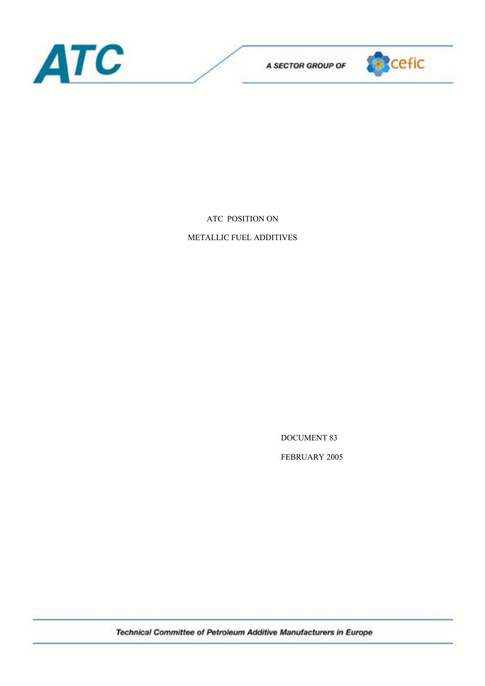



ATC POSITION ON

METALLIC FUEL ADDITIVES

DOCUMENT 83

FEBRUARY 2005

Technical Committee of Petroleum Additive Manufacturers in Europe